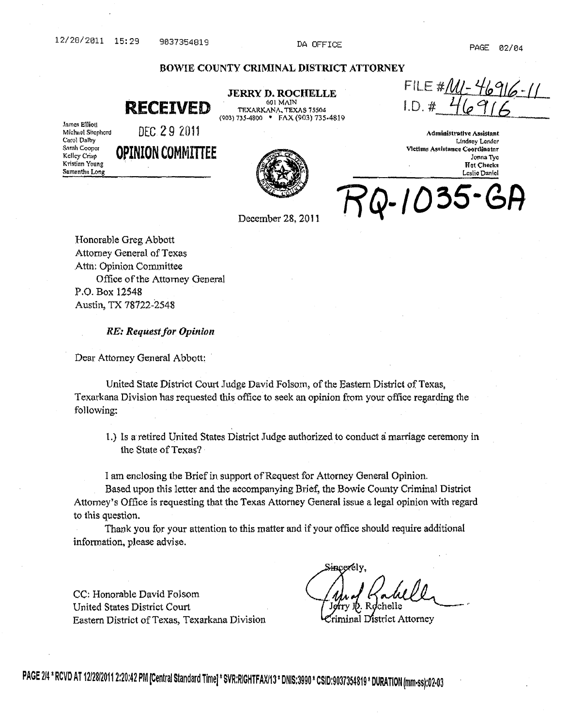# 12/28/2011 15:29 9037354819 DA OFFICE PAGE 02/04

# BOWIE COUNTY CRIMINAL DISTRICT ATTORNEY

601 MATN

#### **RECEIVED**  JERRY D. ROCHELLE TEXARKANA, TEXAS 75504 (903) 735-4800 -FAX (903) 735·4819

James Elliott Michael Shephord Carol Dalby Sarah Cooper Kelley Crisp Kristian Young Samantha Long

DEC 29 2011

**OPINION** COMMITTEE



FILE #<u>/MI-46916-11</u><br>I.D. #\_4<u>6916</u>

Administrative Assistant Lindsey Lender Victims Assistance Coordinator Jonna Tyc **Hot Checks** Leslie Daniel

Q-1035

December 28, 2011

Honorable Greg Abbott Attorney General of Texas Attn: Opinion Committee Office of the Attorney General P.O. Box 12548 Austin, TX 78722-2548

*RE: Request for Opinion* 

Dear Attorney General Abbott:

United State District Court Judge David Folsom, of the Eastern District of Texas, Texarkana Division has requested this office to seek an opinion from your office regarding the following:

1.) Is a retired United States District Judge authorized to conduct a marriage ceremony in the State of Texas?

I am enclosing the Brief in support of Request for Attorney General Opinion.

Based upon this letter and the accompanying Brief, the Bowie County Criminal District Attorney's Office is requesting that the Texas Attorney General issue a legal opinion with regard to this question.

Thank you for your attention to this matter and if your office should require additional information, please advise.

CC: Honorable David Folsom United States District Court Eastern District of Texas, Texarkana Division

 $_{\mathrm{Sinc}$ erely.

riminal District Attorney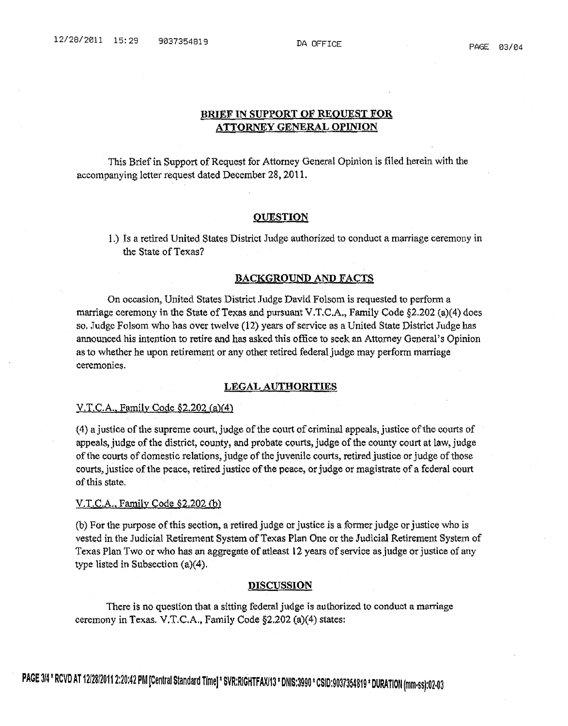## BRIEF IN SUPPORT OF REQUEST FOR ATTORNEY GENERAL OPINION

This Brief in Support of Request for Attorney General Opinion is filed herein with the accompanying letter request dated December 28. 2011.

### **QUESTION**

1.) Is a retired United States District Judge authorized to conduct a marriage ceremony in the State of Texas?

### BACKGROUND AND FACTS

On occasion, United States District Judge David Folsom is requested to perform a marriage ceremony in the State of Texas and pursuant V.T.C.A., Family Code  $\S2.202$  (a)(4) does so. Judge Folsom who has over twelve (12) years of service as a United State District Judge has announced his intention to retire and has asked this office to seek an Attorney General's Opinion as to whether he upon retirement or any other retired federal judge may perform marriage ceremonies.

### LEGAL AUTHORITIES

#### $Y.T.C.A., Family Code §2.202 (a)(4)$

(4) a justice of the supreme court, judge of the court of criminal appeals, justice of the courts of appeals, judge of the district, county, and probate courts, judge of the county court at law, judge of the courts of domestic relations, judge of the juvenile courts, retired justice or judge of those courts, justice of the peace, retired justice of the peace, or judge or magistrate of a federal court of this state.

#### $V.T.C.A., Family Code §2.202(b)$

(b) For the purpose of this section, a retired judge or justice is a former judge or justice who is vested in the Judicial Retirement System of Texas Plan One or the Judicial Retirement System of Texas Plan Two or who has an aggregate of atleast 12 years of service as judge or justice of any type listed in Subsection (a)(4).

# **DISCUSSION**

There is no question that a sitting federal judge is authorized to conduct a marriage ceremony in Texas. V.T.C.A., Family Code  $\S2.202$  (a)(4) states: